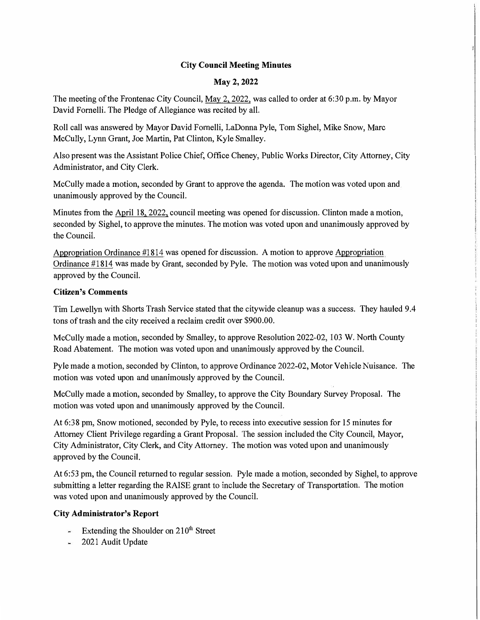# **City Council Meeting Minutes**

### **May2,2022**

The meeting of the Frontenac City Council, May 2, 2022, was called to order at 6:30 p.m. by Mayor David Fornelli. The Pledge of Allegiance was recited by all.

Roll call was answered by Mayor David Fornelli, LaDonna Pyle, Tom Sighel, Mike Snow, Marc McCully, Lynn Grant, Joe Martin, Pat Clinton, Kyle Smalley.

Also present was the Assistant Police Chief, Office Cheney, Public Works Director, City Attorney, City Administrator, and City Clerk.

McCully made a motion, seconded by Grant to approve the agenda. The motion was voted upon and unanimously approved by the Council.

Minutes from the April 18, 2022, council meeting was opened for discussion. Clinton made a motion, seconded by Sighel, to approve the minutes. The motion was voted upon and unanimously approved by the Council.

Appropriation Ordinance #1814 was opened for discussion. A motion to approve Appropriation Ordinance #1814 was made by Grant, seconded by Pyle. The motion was voted upon and unanimously approved by the Council.

#### **Citizen's Comments**

Tim Lewellyn with Shorts Trash Service stated that the citywide cleanup was a success. They hauled 9.4 tons of trash and the city received a reclaim credit over \$900.00.

McCully made a motion, seconded by Smalley, to approve Resolution 2022-02, I 03 W. North County Road Abatement. The motion was voted upon and unanimously approved by the Council.

Pyle made a motion, seconded by Clinton, to approve Ordinance 2022-02, Motor Vehicle Nuisance. The motion was voted upon and unanimously approved by the Council.

McCully made a motion, seconded by Smalley, to approve the City Boundary Survey Proposal. The motion was voted upon and unanimously approved by the Council.

At 6:38 pm, Snow motioned, seconded by Pyle, to recess into executive session for 15 minutes for Attorney Client Privilege regarding a Grant Proposal. The session included the City Council, Mayor, City Administrator, City Clerk, and City Attorney. The motion was voted upon and unanimously approved by the Council.

At 6:53 pm, the Council returned to regular session. Pyle made a motion, seconded by Sighel, to approve submitting a letter regarding the RAISE grant to include the Secretary of Transportation. The motion was voted upon and unanimously approved by the Council.

### **City Administrator's Report**

- Extending the Shoulder on  $210<sup>th</sup>$  Street
- 2021 Audit Update